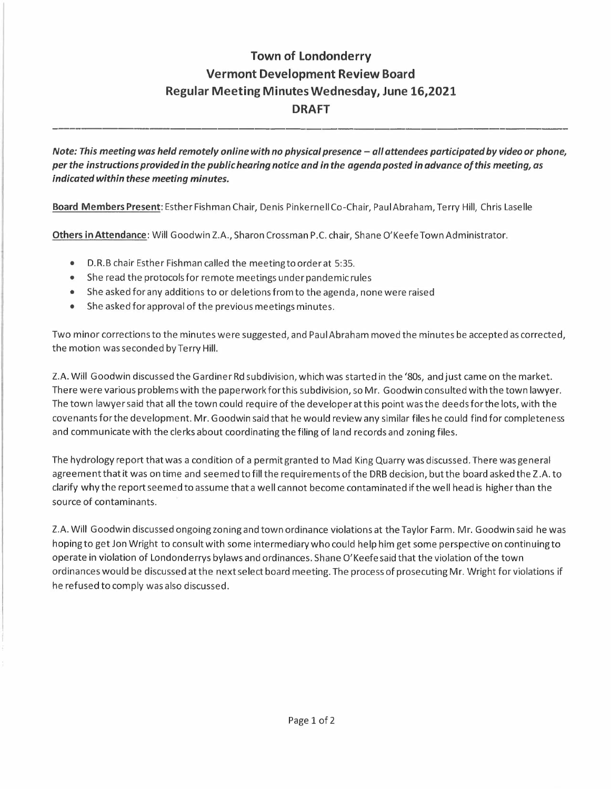## **Town of Londonderry Vermont Development Review Board Regular Meeting Minutes Wednesday, June 16,2021 DRAFT**

*Note: This meeting was held remotely online with no physical presence - all attendees participated by video or phone, per the instructions provided in the public hearing notice and in the agenda posted in advance of this meeting, as indicated within these meeting minutes.* 

**Board Members Present:** Esther Fishman Chair, Denis Pinkernell Co-Chair, Paul Abraham, Terry Hill, Chris Laselle

**Others in Attendance:** Will Goodwin Z.A., Sharon Crossman P .C. chair, Shane O'Keefe Town Administrator.

- D.R.B chair Esther Fishman called the meeting to order at 5:35.
- She read the protocols for remote meetings under pandemic rules
- She asked for any additions to or deletions from to the agenda, none were raised
- She asked for approval of the previous meetings minutes.

Two minor corrections to the minutes were suggested, and Paul Abraham moved the minutes be accepted as corrected, the motion was seconded by Terry Hill.

Z.A. Will Goodwin discussed the Gardiner Rd subdivision, which was started in the '80s, and just came on the market. There were various problems with the paperwork for this subdivision, so Mr. Goodwin consulted with the town lawyer. The town lawyer said that all the town could require of the developer at this point was the deeds for the lots, with the covenants for the development. Mr. Goodwin said that he would review any similar files he could find for completeness and communicate with the clerks about coordinating the filing of land records and zoning files.

The hydrology report that was a condition of a permit granted to Mad King Quarry was discussed. There was general agreement that it was on time and seemed to fill the requirementsofthe DRB decision, but the board asked the Z .A. to clarify why the report seemed to assume that a well cannot become contaminated if the well head is higher than the source of contaminants.

Z.A. Will Goodwin discussed ongoing zoning and town ordinance violations at the Taylor Farm. Mr. Goodwin said he was hoping to get Jon Wright to consult with some intermediary who could help him get some perspective on continuing to operate in violation of Londonderrys bylaws and ordinances. Shane O' Keefe said that the violation of the town ordinances would be discussed at the next select board meeting. The process of prosecuting Mr. Wright for violations if he refused to comply was also discussed.